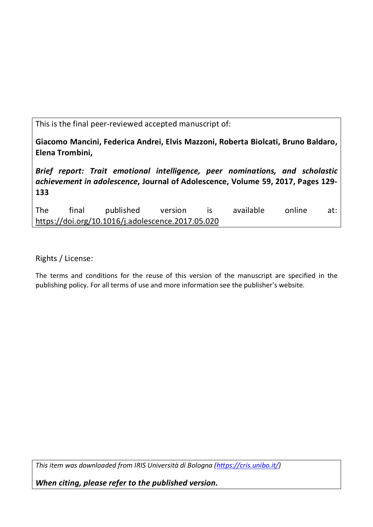This is the final peer-reviewed accepted manuscript of:

**Giacomo Mancini, Federica Andrei, Elvis Mazzoni, Roberta Biolcati, Bruno Baldaro, Elena Trombini,** 

*Brief report: Trait emotional intelligence, peer nominations, and scholastic achievement in adolescence***, Journal of Adolescence, Volume 59, 2017, Pages 129- 133**

The final published version is available online at: https://doi.org/10.1016/j.adolescence.2017.05.020

# Rights / License:

The terms and conditions for the reuse of this version of the manuscript are specified in the publishing policy. For all terms of use and more information see the publisher's website.

*This item was downloaded from IRIS Università di Bologna (https://cris.unibo.it/)*

*When citing, please refer to the published version.*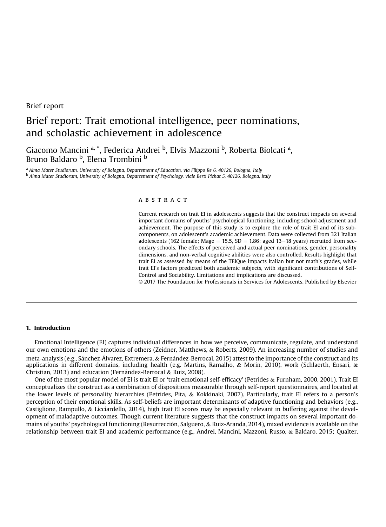## Brief report

# Brief report: Trait emotional intelligence, peer nominations, and scholastic achievement in adolescence

Giacomo Mancini <sup>a, \*</sup>, Federica Andrei <sup>b</sup>, Elvis Mazzoni <sup>b</sup>, Roberta Biolcati <sup>a</sup>, Bruno Baldaro <sup>b</sup>, Elena Trombini <sup>b</sup>

<sup>a</sup> Alma Mater Studiorum, University of Bologna, Departement of Education, via Filippo Re 6, 40126, Bologna, Italy

<sup>b</sup> Alma Mater Studiorum, University of Bologna, Departement of Psychology, viale Berti Pichat 5, 40126, Bologna, Italy

## **ABSTRACT**

Current research on trait EI in adolescents suggests that the construct impacts on several important domains of youths' psychological functioning, including school adjustment and achievement. The purpose of this study is to explore the role of trait EI and of its subcomponents, on adolescent's academic achievement. Data were collected from 321 Italian adolescents (162 female; Mage = 15.5,  $SD = 1.86$ ; aged 13-18 years) recruited from secondary schools. The effects of perceived and actual peer nominations, gender, personality dimensions, and non-verbal cognitive abilities were also controlled. Results highlight that trait EI as assessed by means of the TEIQue impacts Italian but not math's grades, while trait EI's factors predicted both academic subjects, with significant contributions of Self-Control and Sociability. Limitations and implications are discussed.

© 2017 The Foundation for Professionals in Services for Adolescents. Published by Elsevier

## 1. Introduction

Emotional Intelligence (EI) captures individual differences in how we perceive, communicate, regulate, and understand our own emotions and the emotions of others (Zeidner, Matthews, & Roberts, 2009). An increasing number of studies and meta-analysis (e.g., Sánchez-Álvarez, Extremera, & Fernández-Berrocal, 2015) attest to the importance of the construct and its applications in different domains, including health (e.g. Martins, Ramalho, & Morin, 2010), work (Schlaerth, Ensari, & Christian, 2013) and education (Fernández-Berrocal & Ruiz, 2008).

One of the most popular model of EI is trait EI or 'trait emotional self-efficacy' (Petrides & Furnham, 2000, 2001). Trait EI conceptualizes the construct as a combination of dispositions measurable through self-report questionnaires, and located at the lower levels of personality hierarchies (Petrides, Pita, & Kokkinaki, 2007). Particularly, trait EI refers to a person's perception of their emotional skills. As self-beliefs are important determinants of adaptive functioning and behaviors (e.g., Castiglione, Rampullo, & Licciardello, 2014), high trait EI scores may be especially relevant in buffering against the development of maladaptive outcomes. Though current literature suggests that the construct impacts on several important domains of youths' psychological functioning (Resurreccion, Salguero, & Ruiz-Aranda, 2014), mixed evidence is available on the relationship between trait EI and academic performance (e.g., Andrei, Mancini, Mazzoni, Russo, & Baldaro, 2015; Qualter,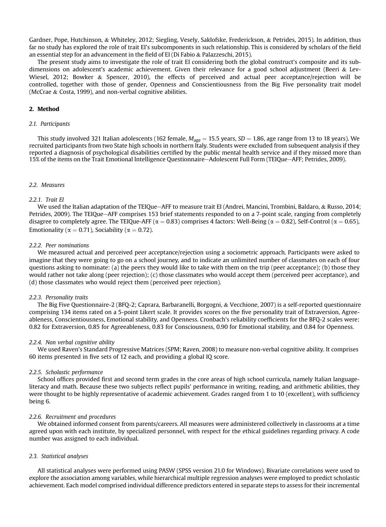Gardner, Pope, Hutchinson, & Whiteley, 2012; Siegling, Vesely, Saklofske, Frederickson, & Petrides, 2015). In addition, thus far no study has explored the role of trait EI's subcomponents in such relationship. This is considered by scholars of the field an essential step for an advancement in the field of EI (Di Fabio & Palazzeschi, 2015).

The present study aims to investigate the role of trait EI considering both the global construct's composite and its subdimensions on adolescent's academic achievement. Given their relevance for a good school adjustment (Beeri & Lev-Wiesel, 2012; Bowker & Spencer, 2010), the effects of perceived and actual peer acceptance/rejection will be controlled, together with those of gender, Openness and Conscientiousness from the Big Five personality trait model (McCrae & Costa, [1999\)](#page-5-0), and non-verbal cognitive abilities.

## 2. Method

#### 2.1. Participants

This study involved 321 Italian adolescents (162 female,  $M_{\text{age}} = 15.5$  years, SD = 1.86, age range from 13 to 18 years). We recruited participants from two State high schools in northern Italy. Students were excluded from subsequent analysis if they reported a diagnosis of psychological disabilities certified by the public mental health service and if they missed more than 15% of the items on the Trait Emotional Intelligence Questionnaire–Adolescent Full Form (TEIQue–AFF; Petrides, 2009).

## 2.2. Measures

#### 2.2.1. Trait EI

We used the Italian adaptation of the TEIQue-AFF to measure trait EI (Andrei, Mancini, Trombini, Baldaro, & Russo, 2014; Petrides, 2009). The TEIQue-AFF comprises 153 brief statements responded to on a 7-point scale, ranging from completely disagree to completely agree. The TEIQue-AFF ( $\alpha = 0.83$ ) comprises 4 factors: Well-Being ( $\alpha = 0.82$ ), Self-Control ( $\alpha = 0.65$ ), Emotionality ( $\alpha = 0.71$ ), Sociability ( $\alpha = 0.72$ ).

### 2.2.2. Peer nominations

We measured actual and perceived peer acceptance/rejection using a sociometric approach. Participants were asked to imagine that they were going to go on a school journey, and to indicate an unlimited number of classmates on each of four questions asking to nominate: (a) the peers they would like to take with them on the trip (peer acceptance); (b) those they would rather not take along (peer rejection); (c) those classmates who would accept them (perceived peer acceptance), and (d) those classmates who would reject them (perceived peer rejection).

#### 2.2.3. Personality traits

The Big Five Questionnaire-2 (BFQ-2; Caprara, Barbaranelli, Borgogni, & Vecchione, 2007) is a self-reported questionnaire comprising 134 items rated on a 5-point Likert scale. It provides scores on the five personality trait of Extraversion, Agreeableness, Conscientiousness, Emotional stability, and Openness. Cronbach's reliability coefficients for the BFQ-2 scales were: 0.82 for Extraversion, 0.85 for Agreeableness, 0.83 for Consciousness, 0.90 for Emotional stability, and 0.84 for Openness.

#### 2.2.4. Non verbal cognitive ability

We used Raven's Standard Progressive Matrices (SPM; Raven, 2008) to measure non-verbal cognitive ability. It comprises 60 items presented in five sets of 12 each, and providing a global IQ score.

#### 2.2.5. Scholastic performance

School offices provided first and second term grades in the core areas of high school curricula, namely Italian languageliteracy and math. Because these two subjects reflect pupils' performance in writing, reading, and arithmetic abilities, they were thought to be highly representative of academic achievement. Grades ranged from 1 to 10 (excellent), with sufficiency being 6.

#### 2.2.6. Recruitment and procedures

We obtained informed consent from parents/careers. All measures were administered collectively in classrooms at a time agreed upon with each institute, by specialized personnel, with respect for the ethical guidelines regarding privacy. A code number was assigned to each individual.

#### 2.3. Statistical analyses

All statistical analyses were performed using PASW (SPSS version 21.0 for Windows). Bivariate correlations were used to explore the association among variables, while hierarchical multiple regression analyses were employed to predict scholastic achievement. Each model comprised individual difference predictors entered in separate steps to assess for their incremental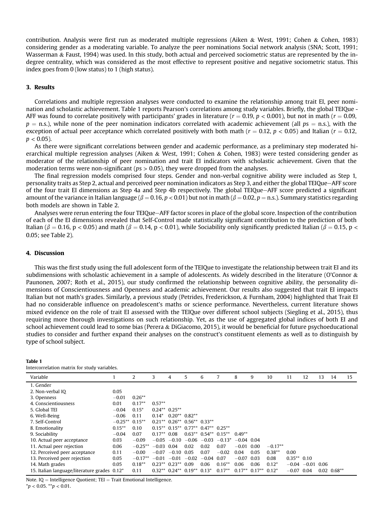contribution. Analysis were first run as moderated multiple regressions (Aiken & West, 1991; Cohen & Cohen, 1983) considering gender as a moderating variable. To analyze the peer nominations Social network analysis (SNA; Scott, 1991; Wasserman & Faust, 1994) was used. In this study, both actual and perceived sociometric status are represented by the indegree centrality, which was considered as the most effective to represent positive and negative sociometric status. This index goes from 0 (low status) to 1 (high status).

#### 3. Results

Correlations and multiple regression analyses were conducted to examine the relationship among trait EI, peer nomination and scholastic achievement. Table 1 reports Pearson's correlations among study variables. Briefly, the global TEIQue - AFF was found to correlate positively with participants' grades in literature ( $r = 0.19$ ,  $p < 0.001$ ), but not in math ( $r = 0.09$ ,  $p =$  n.s.), while none of the peer nomination indicators correlated with academic achievement (all  $ps =$  n.s.), with the exception of actual peer acceptance which correlated positively with both math ( $r = 0.12$ ,  $p < 0.05$ ) and Italian ( $r = 0.12$ ,  $p < 0.05$ ).

As there were significant correlations between gender and academic performance, as a preliminary step moderated hierarchical multiple regression analyses (Aiken & West, 1991; Cohen & Cohen, 1983) were tested considering gender as moderator of the relationship of peer nomination and trait EI indicators with scholastic achievement. Given that the moderation terms were non-significant ( $ps > 0.05$ ), they were dropped from the analyses.

The final regression models comprised four steps. Gender and non-verbal cognitive ability were included as Step 1, personality traits as Step 2, actual and perceived peer nomination indicators as Step 3, and either the global TEIQue-AFF score of the four trait EI dimensions as Step 4a and Step 4b respectively. The global TEIQue-AFF score predicted a significant amount of the variance in Italian language ( $\beta = 0.16$ ,  $p < 0.01$ ) but not in math ( $\beta = 0.02$ ,  $p =$  n.s.). Summary statistics regarding both models are shown in Table 2.

Analyses were rerun entering the four TEIQue-AFF factor scores in place of the global score. Inspection of the contribution of each of the EI dimensions revealed that Self-Control made statistically significant contribution to the prediction of both Italian ( $\beta$  = 0.16, p < 0.05) and math ( $\beta$  = 0.14, p < 0.01), while Sociability only significantly predicted Italian ( $\beta$  = 0.15, p < 0.05; see Table 2).

## 4. Discussion

This was the first study using the full adolescent form of the TEIQue to investigate the relationship between trait EI and its subdimensions with scholastic achievement in a sample of adolescents. As widely described in the literature (O'Connor & Paunonen, 2007; Roth et al., 2015), our study confirmed the relationship between cognitive ability, the personality dimensions of Conscientiousness and Openness and academic achievement. Our results also suggested that trait EI impacts Italian but not math's grades. Similarly, a previous study (Petrides, Frederickson, & Furnham, 2004) highlighted that Trait EI had no considerable influence on preadolescent's maths or science performance. Nevertheless, current literature shows mixed evidence on the role of trait EI assessed with the TEIQue over different school subjects (Siegling et al., 2015), thus requiring more thorough investigations on such relationship. Yet, as the use of aggregated global indices of both EI and school achievement could lead to some bias (Perera & DiGiacomo, 2015), it would be beneficial for future psychoeducational studies to consider and further expand their analyses on the construct's constituent elements as well as to distinguish by type of school subject.

#### Table 1

Intercorrelation matrix for study variables.

| Variable                                     |            | 2         | 3             | 4                                               | 5         | 6              | 7                                              | 8            | 9         | 10        | 11           | 12           | 13 | 14              | 15 |
|----------------------------------------------|------------|-----------|---------------|-------------------------------------------------|-----------|----------------|------------------------------------------------|--------------|-----------|-----------|--------------|--------------|----|-----------------|----|
| 1. Gender                                    |            |           |               |                                                 |           |                |                                                |              |           |           |              |              |    |                 |    |
| 2. Non-verbal IQ                             | 0.05       |           |               |                                                 |           |                |                                                |              |           |           |              |              |    |                 |    |
| 3. Openness                                  | $-0.01$    | $0.26***$ |               |                                                 |           |                |                                                |              |           |           |              |              |    |                 |    |
| 4. Conscientiousness                         | 0.01       | $0.17**$  | $0.57**$      |                                                 |           |                |                                                |              |           |           |              |              |    |                 |    |
| 5. Global TEI                                | $-0.04$    | $0.15*$   |               | $0.24**0.25**$                                  |           |                |                                                |              |           |           |              |              |    |                 |    |
| 6. Well-Being                                | $-0.06$    | 0.11      | $0.14*$       | $0.20**$ 0.82**                                 |           |                |                                                |              |           |           |              |              |    |                 |    |
| 7. Self-Control                              | $-0.25***$ | $0.15***$ |               | $0.21^{**}$ $0.26^{**}$ $0.56^{**}$ $0.33^{**}$ |           |                |                                                |              |           |           |              |              |    |                 |    |
| 8. Emotionality                              | $0.15***$  | 0.10      |               |                                                 |           |                | $0.15***$ $0.15***$ $0.77**$ $0.47**$ $0.25**$ |              |           |           |              |              |    |                 |    |
| 9. Sociability                               | $-0.04$    | 0.07      | $0.17**$ 0.08 |                                                 |           |                | $0.63**$ $0.54**$ $0.15**$                     | $0.49**$     |           |           |              |              |    |                 |    |
| 10. Actual peer acceptance                   | 0.03       | $-0.09$   | $-0.05$       | $-0.10$                                         |           | $-0.06 - 0.03$ | $-0.13*$                                       | $-0.04$ 0.04 |           |           |              |              |    |                 |    |
| 11. Actual peer rejection                    | 0.06       | $-0.25**$ | $-0.03$ 0.04  |                                                 | 0.02      | 0.02           | 0.07                                           | $-0.01$      | 0.00      | $-0.17**$ |              |              |    |                 |    |
| 12. Perceived peer acceptance                | 0.11       | $-0.00$   | $-0.07$       | $-0.10$ 0.05                                    |           | 0.07           | $-0.02$                                        | 0.04         | 0.05      | $0.38***$ | 0.00         |              |    |                 |    |
| 13. Perceived peer rejection                 | 0.05       | $-0.17**$ | $-0.01$       | $-0.01$                                         | $-0.02$   | $-0.04$ 0.07   |                                                | $-0.07$      | 0.03      | 0.08      | $0.35**0.10$ |              |    |                 |    |
| 14. Math grades                              | 0.05       | $0.18***$ |               | $0.23**0.23**$                                  | 0.09      | 0.06           | $0.16***$                                      | 0.06         | 0.06      | $0.12*$   | $-0.04$      | $-0.01$ 0.06 |    |                 |    |
| 15. Italian language/literature grades 0.12* |            | 0.11      |               | $0.32**0.24**$                                  | $0.19***$ | $0.13*$        | $0.17***$                                      | $0.17***$    | $0.17***$ | $0.12*$   | $-0.07$      | 0.04         |    | $0.02$ $0.68**$ |    |

Note.  $IQ =$  Intelligence Quotient; TEI  $=$  Trait Emotional Intelligence.

 $*p < 0.05$ .  $*p < 0.01$ .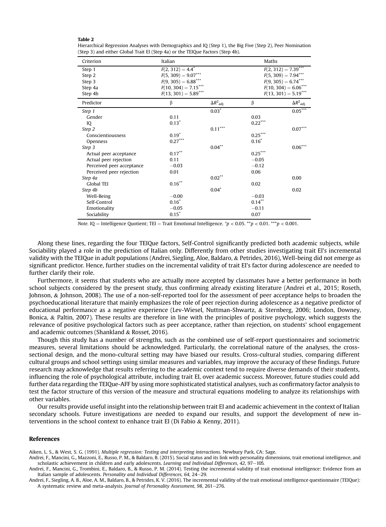#### Table 2

| Hierarchical Regression Analyses with Demographics and IQ (Step 1), the Big Five (Step 2), Peer Nomination |
|------------------------------------------------------------------------------------------------------------|
| (Step 3) and either Global Trait EI (Step 4a) or the TEIQue Factors (Step 4b).                             |

| Criterion                 | Italian                |                                                   | Maths                  |                             |  |  |
|---------------------------|------------------------|---------------------------------------------------|------------------------|-----------------------------|--|--|
| Step 1                    | $F(2, 312) = 4.4^*$    |                                                   |                        | $F(2, 312) = 7.39***$       |  |  |
| Step 2                    | $F(5, 309) = 9.07***$  |                                                   | $F(5, 309) = 7.94***$  |                             |  |  |
| Step 3                    | $F(9, 305) = 6.88***$  |                                                   | $F(9, 305) = 6.74$     |                             |  |  |
| Step 4a                   | $F(10, 304) = 7.15***$ |                                                   | $F(10, 304) = 6.06***$ |                             |  |  |
| Step 4b                   |                        | $F(13, 301) = 5.89$ ***<br>$F(13, 301) = 5.19***$ |                        |                             |  |  |
| Predictor                 | β                      | $\Delta R^2$ adj                                  | β                      | $\Delta R^2$ <sub>adj</sub> |  |  |
| Step 1                    |                        | $0.03*$                                           |                        | $0.05***$                   |  |  |
| Gender                    | 0.11                   |                                                   | 0.03                   |                             |  |  |
| IO.                       | $0.13*$                |                                                   | $0.22***$              |                             |  |  |
| Step 2                    |                        | $0.11^{\ast\ast\ast}$                             |                        | $0.07***$                   |  |  |
| Conscientiousness         | $0.19*$                |                                                   | $0.25***$              |                             |  |  |
| Openness                  | $0.27***$              |                                                   | $0.16*$                |                             |  |  |
| Step 3                    |                        | $0.04***$                                         |                        | $0.06***$                   |  |  |
| Actual peer acceptance    | $0.17***$              |                                                   | $0.25***$              |                             |  |  |
| Actual peer rejection     | 0.11                   |                                                   | $-0.05$                |                             |  |  |
| Perceived peer acceptance | $-0.03$                |                                                   | $-0.12$                |                             |  |  |
| Perceived peer rejection  | 0.01                   |                                                   | 0.06                   |                             |  |  |
| Step 4a                   |                        | $0.02***$                                         |                        | 0.00                        |  |  |
| Global TEI                | $0.16***$              |                                                   | 0.02                   |                             |  |  |
| Step 4b                   |                        | $0.04*$                                           |                        | 0.02                        |  |  |
| Well-Being                | $-0.00$                |                                                   | $-0.03$                |                             |  |  |
| Self-Control              | $0.16*$                |                                                   | $0.14***$              |                             |  |  |
| Emotionality              | $-0.05$                |                                                   | $-0.11$                |                             |  |  |
| Sociability               | $0.15$ <sup>*</sup>    |                                                   | 0.07                   |                             |  |  |

Note. IQ = Intelligence Quotient; TEI = Trait Emotional Intelligence. \*p < 0.05. \*\*p < 0.01. \*\*\*p < 0.001.

Along these lines, regarding the four TEIQue factors, Self-Control significantly predicted both academic subjects, while Sociability played a role in the prediction of Italian only. Differently from other studies investigating trait EI's incremental validity with the TEIQue in adult populations (Andrei, Siegling, Aloe, Baldaro, & Petrides, 2016), Well-being did not emerge as significant predictor. Hence, further studies on the incremental validity of trait EI's factor during adolescence are needed to further clarify their role.

Furthermore, it seems that students who are actually more accepted by classmates have a better performance in both school subjects considered by the present study, thus confirming already existing literature (Andrei et al., 2015; Roseth, Johnson, & Johnson, 2008). The use of a non-self-reported tool for the assessment of peer acceptance helps to broaden the psychoeducational literature that mainly emphasizes the role of peer rejection during adolescence as a negative predictor of educational performance as a negative experience (Lev-Wiesel, Nuttman-Shwartz, & Sternberg, 2006; London, Downey, Bonica, & Paltin, 2007). These results are therefore in line with the principles of positive psychology, which suggests the relevance of positive psychological factors such as peer acceptance, rather than rejection, on students' school engagement and academic outcomes (Shankland & Rosset, 2016).

Though this study has a number of strengths, such as the combined use of self-report questionnaires and sociometric measures, several limitations should be acknowledged. Particularly, the correlational nature of the analyses, the crosssectional design, and the mono-cultural setting may have biased our results. Cross-cultural studies, comparing different cultural groups and school settings using similar measures and variables, may improve the accuracy of these findings. Future research may acknowledge that results referring to the academic context tend to require diverse demands of their students, influencing the role of psychological attribute, including trait EI, over academic success. Moreover, future studies could add further data regarding the TEIQue-AFF by using more sophisticated statistical analyses, such as confirmatory factor analysis to test the factor structure of this version of the measure and structural equations modeling to analyze its relationships with other variables.

Our results provide useful insight into the relationship between trait EI and academic achievement in the context of Italian secondary schools. Future investigations are needed to expand our results, and support the development of new interventions in the school context to enhance trait EI (Di Fabio & Kenny, 2011).

### References

Aiken, L. S., & West, S. G. (1991). Multiple regression: Testing and interpreting interactions. Newbury Park, CA: Sage.

Andrei, F., Mancini, G., Mazzoni, E., Russo, P. M., & Baldaro, B. (2015). Social status and its link with personality dimensions, trait emotional intelligence, and scholastic achievement in children and early adolescents. Learning and Individual Differences, 42, 97-105.

Andrei, F., Mancini, G., Trombini, E., Baldaro, B., & Russo, P. M. (2014). Testing the incremental validity of trait emotional intelligence: Evidence from an Italian sample of adolescents. Personality and Individual Differences, 64, 24-29.

Andrei, F., Siegling, A. B., Aloe, A. M., Baldaro, B., & Petrides, K. V. (2016). The incremental validity of the trait emotional intelligence questionnaire (TEIQue): A systematic review and meta-analysis. Journal of Personality Assessment, 98, 261-276.